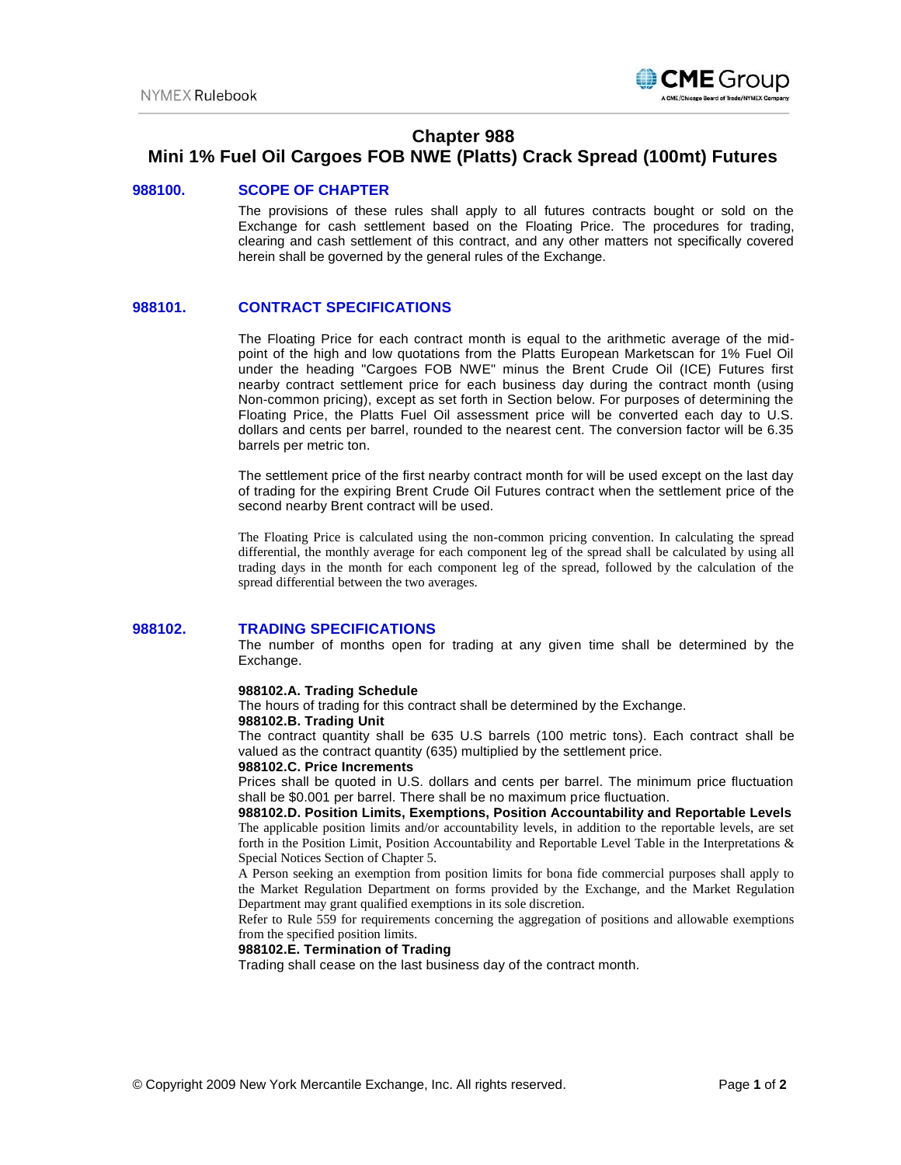

# **Chapter 988**

# **Mini 1% Fuel Oil Cargoes FOB NWE (Platts) Crack Spread (100mt) Futures**

### **988100. SCOPE OF CHAPTER**

The provisions of these rules shall apply to all futures contracts bought or sold on the Exchange for cash settlement based on the Floating Price. The procedures for trading, clearing and cash settlement of this contract, and any other matters not specifically covered herein shall be governed by the general rules of the Exchange.

## **988101. CONTRACT SPECIFICATIONS**

The Floating Price for each contract month is equal to the arithmetic average of the midpoint of the high and low quotations from the Platts European Marketscan for 1% Fuel Oil under the heading "Cargoes FOB NWE" minus the Brent Crude Oil (ICE) Futures first nearby contract settlement price for each business day during the contract month (using Non-common pricing), except as set forth in Section below. For purposes of determining the Floating Price, the Platts Fuel Oil assessment price will be converted each day to U.S. dollars and cents per barrel, rounded to the nearest cent. The conversion factor will be 6.35 barrels per metric ton.

The settlement price of the first nearby contract month for will be used except on the last day of trading for the expiring Brent Crude Oil Futures contract when the settlement price of the second nearby Brent contract will be used.

The Floating Price is calculated using the non-common pricing convention. In calculating the spread differential, the monthly average for each component leg of the spread shall be calculated by using all trading days in the month for each component leg of the spread, followed by the calculation of the spread differential between the two averages.

#### **988102. TRADING SPECIFICATIONS**

The number of months open for trading at any given time shall be determined by the Exchange.

#### **988102.A. Trading Schedule**

The hours of trading for this contract shall be determined by the Exchange.

#### **988102.B. Trading Unit**

The contract quantity shall be 635 U.S barrels (100 metric tons). Each contract shall be valued as the contract quantity (635) multiplied by the settlement price.

#### **988102.C. Price Increments**

Prices shall be quoted in U.S. dollars and cents per barrel. The minimum price fluctuation shall be \$0.001 per barrel. There shall be no maximum price fluctuation.

**988102.D. Position Limits, Exemptions, Position Accountability and Reportable Levels** The applicable position limits and/or accountability levels, in addition to the reportable levels, are set forth in the Position Limit, Position Accountability and Reportable Level Table in the Interpretations & Special Notices Section of Chapter 5.

A Person seeking an exemption from position limits for bona fide commercial purposes shall apply to the Market Regulation Department on forms provided by the Exchange, and the Market Regulation Department may grant qualified exemptions in its sole discretion.

Refer to Rule 559 for requirements concerning the aggregation of positions and allowable exemptions from the specified position limits.

#### **988102.E. Termination of Trading**

Trading shall cease on the last business day of the contract month.